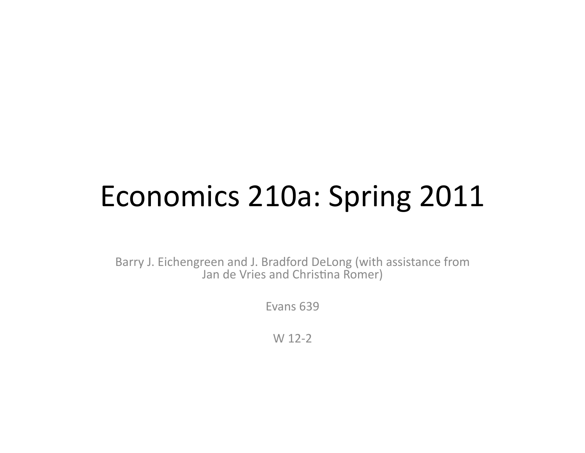## Economics 210a: Spring 2011

Barry J. Eichengreen and J. Bradford DeLong (with assistance from Jan de Vries and Christina Romer)

Fyans 639

 $W<sub>12-2</sub>$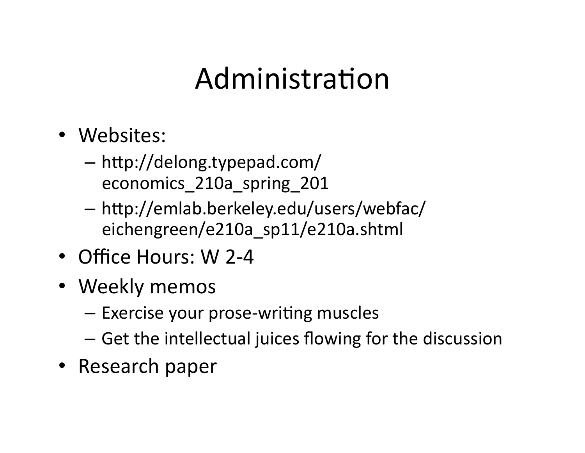#### Administration

- Websites:
	- $-$  http://delong.typepad.com/ economics\_210a\_spring\_201(
	- $-$  http://emlab.berkeley.edu/users/webfac/ eichengreen/e210a\_sp11/e210a.shtml(
- Office Hours: W 2-4
- Weekly memos
	- $-$  Exercise your prose-writing muscles
	- $-$  Get the intellectual juices flowing for the discussion
- Research paper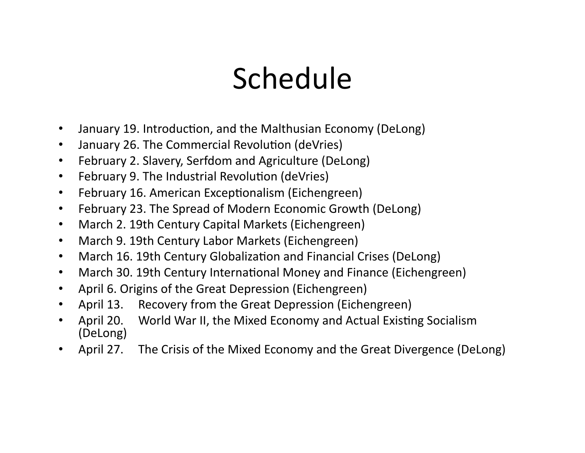## **Schedule**

- January 19. Introduction, and the Malthusian Economy (DeLong)
- January 26. The Commercial Revolution (deVries)
- February 2. Slavery, Serfdom and Agriculture (DeLong)
- February 9. The Industrial Revolution (deVries)
- February 16. American Exceptionalism (Eichengreen)
- February 23. The Spread of Modern Economic Growth (DeLong)
- March 2. 19th Century Capital Markets (Eichengreen)
- March 9. 19th Century Labor Markets (Eichengreen)
- March 16. 19th Century Globalization and Financial Crises (DeLong)
- March 30. 19th Century International Money and Finance (Eichengreen)
- April 6. Origins of the Great Depression (Eichengreen)
- April 13. Recovery from the Great Depression (Eichengreen)
- April 20. World War II, the Mixed Economy and Actual Existing Socialism (DeLong)
- April 27. The Crisis of the Mixed Economy and the Great Divergence (DeLong)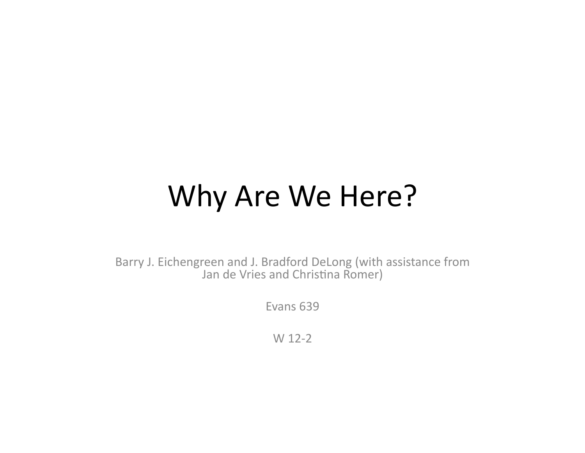#### Why Are We Here?

Barry J. Eichengreen and J. Bradford DeLong (with assistance from Jan de Vries and Christina Romer)

Evans 639

 $W<sub>12-2</sub>$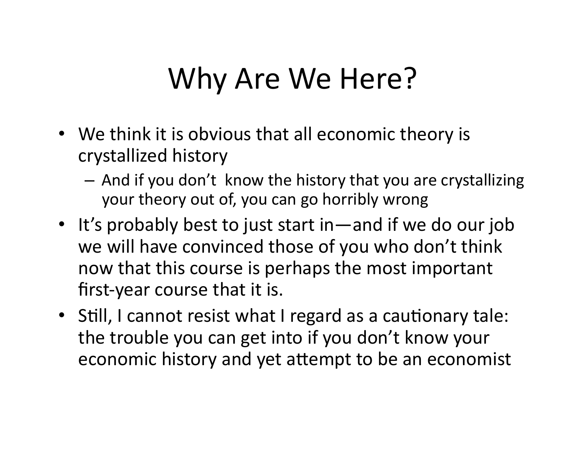#### Why Are We Here?

- We think it is obvious that all economic theory is crystallized history
	- $-$  And if you don't know the history that you are crystallizing your theory out of, you can go horribly wrong
- It's probably best to just start in—and if we do our job we will have convinced those of you who don't think now that this course is perhaps the most important first-year course that it is.
- Still, I cannot resist what I regard as a cautionary tale: the trouble you can get into if you don't know your economic history and yet attempt to be an economist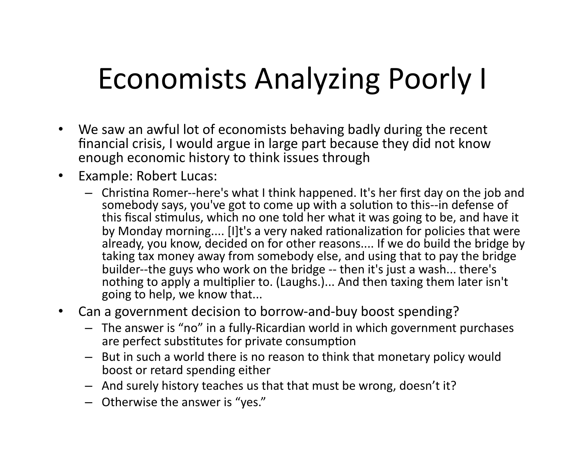# Economists Analyzing Poorly I

- We saw an awful lot of economists behaving badly during the recent financial crisis, I would argue in large part because they did not know enough economic history to think issues through
- Example: Robert Lucas:
	- Christina Romer--here's what I think happened. It's her first day on the job and somebody says, you've got to come up with a solution to this--in defense of this fiscal stimulus, which no one told her what it was going to be, and have it by Monday morning.... [I]t's a very naked rationalization for policies that were already, you know, decided on for other reasons.... If we do build the bridge by taking tax money away from somebody else, and using that to pay the bridge builder--the guys who work on the bridge -- then it's just a wash... there's nothing to apply a multiplier to. (Laughs.)... And then taxing them later isn't going to help, we know that...
- Can a government decision to borrow-and-buy boost spending?
	- $-$  The answer is "no" in a fully-Ricardian world in which government purchases are perfect substitutes for private consumption
	- But in such a world there is no reason to think that monetary policy would boost or retard spending either
	- $-$  And surely history teaches us that that must be wrong, doesn't it?
	- $-$  Otherwise the answer is "yes."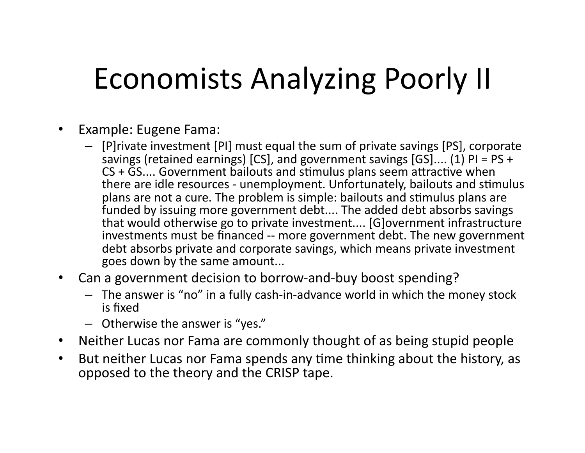## Economists Analyzing Poorly II

- Example: Eugene Fama:
	- $-$  [P]rivate investment [PI] must equal the sum of private savings [PS], corporate savings (retained earnings) [CS], and government savings [GS].... (1) PI = PS +  $CS$  + GS.... Government bailouts and stimulus plans seem attractive when there are idle resources - unemployment. Unfortunately, bailouts and stimulus plans are not a cure. The problem is simple: bailouts and stimulus plans are funded by issuing more government debt.... The added debt absorbs savings that would otherwise go to private investment.... [G]overnment infrastructure investments must be financed -- more government debt. The new government debt absorbs private and corporate savings, which means private investment goes down by the same amount...
- Can a government decision to borrow-and-buy boost spending?
	- $-$  The answer is "no" in a fully cash-in-advance world in which the money stock is fixed
	- $-$  Otherwise the answer is "yes."
- Neither Lucas nor Fama are commonly thought of as being stupid people
- But neither Lucas nor Fama spends any time thinking about the history, as opposed to the theory and the CRISP tape.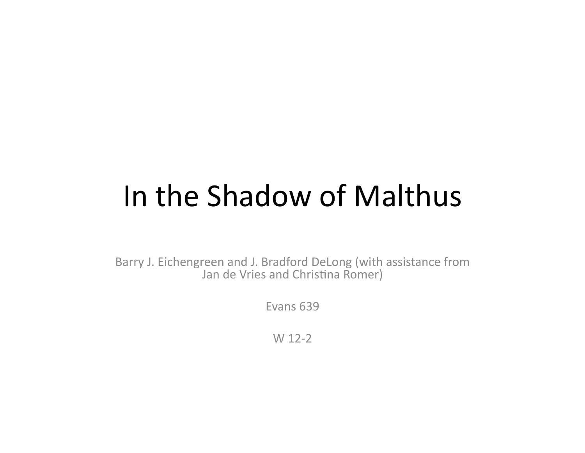#### In the Shadow of Malthus

Barry J. Eichengreen and J. Bradford DeLong (with assistance from Jan de Vries and Christina Romer)

Fyans 639

 $W<sub>12-2</sub>$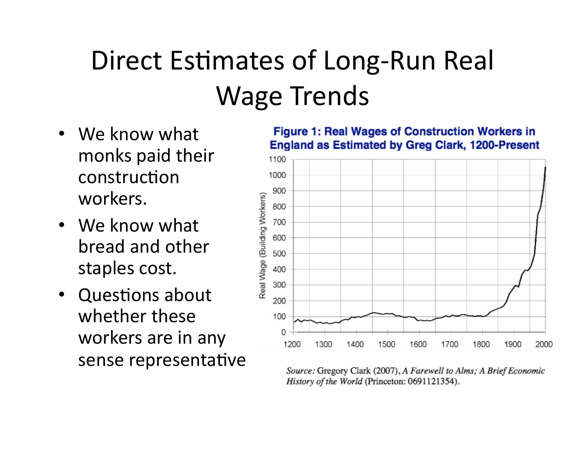## Direct Estimates of Long-Run Real Wage Trends

- We know what monks paid their construction workers.
- We know what bread and other staples cost.
- Questions about whether these workers are in any sense representative

**Figure 1: Real Wages of Construction Workers in England as Estimated by Greg Clark, 1200-Present** 



Source: Gregory Clark (2007), A Farewell to Alms; A Brief Economic History of the World (Princeton: 0691121354).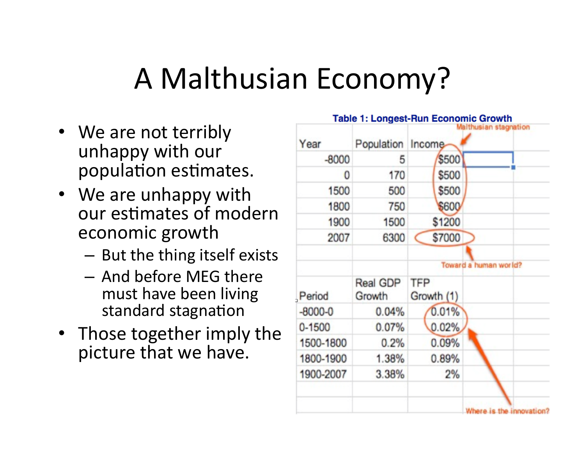## A Malthusian Economy?

- We are not terribly unhappy with our population estimates.
- We are unhappy with our estimates of modern economic growth
	- $-$  But the thing itself exists
	- $-$  And before MEG there must have been living standard stagnation
- Those together imply the picture that we have.

| Year        | Population         | Malthusian stagnation<br>Income |
|-------------|--------------------|---------------------------------|
| $-8000$     | 5                  | \$500                           |
| 0           | 170                | \$500                           |
| 1500        | 500                | \$500                           |
| 1800        | 750                | \$600                           |
| 1900        | 1500               | \$1200                          |
| 2007        | 6300               | \$7000                          |
|             |                    | Toward a human world?           |
| Period      | Real GDP<br>Growth | TFP<br>Growth (1)               |
| $-8000 - 0$ | 0.04%              | 0.01%                           |
| $0 - 1500$  | 0.07%              | 0.02%                           |
| 1500-1800   | 0.2%               | 0.09%                           |
| 1800-1900   | 1.38%              | 0.89%                           |
| 1900-2007   | 3.38%              | 2%                              |
|             |                    |                                 |
|             |                    | Where is the innovation?        |

**Table 1: Longest-Run Economic Growth**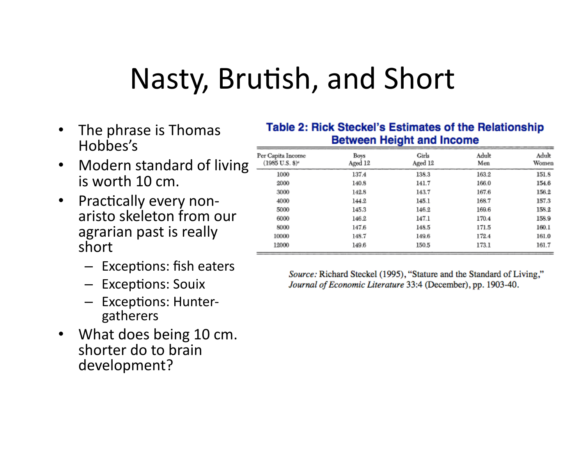#### Nasty, Brutish, and Short

- The phrase is Thomas Hobbes's(
- Modern standard of living is worth  $10 \, \text{cm}$ .
- Practically every nonaristo skeleton from our agrarian past is really short
	- $-$  Exceptions: fish eaters
	- Exceptions: Souix
	- $-$  Exceptions: Huntergatherers(
- What does being 10 cm. shorter do to brain development?

#### **Table 2: Rick Steckel's Estimates of the Relationship Between Height and Income**

| Per Capita Income<br>(1985 U.S. \$)* | Boys<br>Aged 12 | Girls<br>Aged 12 | Adult<br>Men | Adult<br>Women |
|--------------------------------------|-----------------|------------------|--------------|----------------|
| 1000                                 | 137.4           | 138.3            | 163.2        | 151.8          |
| 2000                                 | 140.8           | 141.7            | 166.0        | 154.6          |
| 3000                                 | 142.8           | 143.7            | 167.6        | 156.2          |
| 4000                                 | 144.2           | 145.1            | 168.7        | 157.3          |
| 5000                                 | 145.3           | 146.2            | 169.6        | 158.2          |
| 6000                                 | 146.2           | 147.1            | 170.4        | 158.9          |
| 8000                                 | 147.6           | 148.5            | 171.5        | 160.1          |
| 10000                                | 148.7           | 149.6            | 172.4        | 161.0          |
| 12000                                | 149.6           | 150.5            | 173.1        | 161.7          |

Source: Richard Steckel (1995), "Stature and the Standard of Living," Journal of Economic Literature 33:4 (December), pp. 1903-40.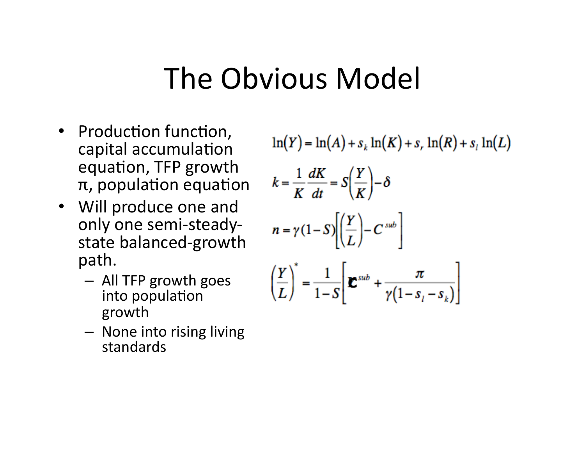#### The Obvious Model

- Production function, capital accumulation equation, TFP growth  $π$ , population equation
- Will produce one and only one semi-steadystate balanced-growth path.
	- $-$  All TFP growth goes into population growth
	- $-$  None into rising living standards(

$$
\ln(Y) = \ln(A) + s_k \ln(K) + s_r \ln(R) + s_l \ln(L)
$$

$$
k = \frac{1}{K} \frac{dK}{dt} = S\left(\frac{Y}{K}\right) - \delta
$$

$$
n = \gamma (1 - S) \left[\left(\frac{Y}{L}\right) - C^{sub}\right]
$$

$$
\left(\frac{Y}{L}\right)^{*} = \frac{1}{1-S} \left[\mathbf{\Sigma}^{sub} + \frac{\pi}{\gamma(1-s_{i}-s_{k})}\right]
$$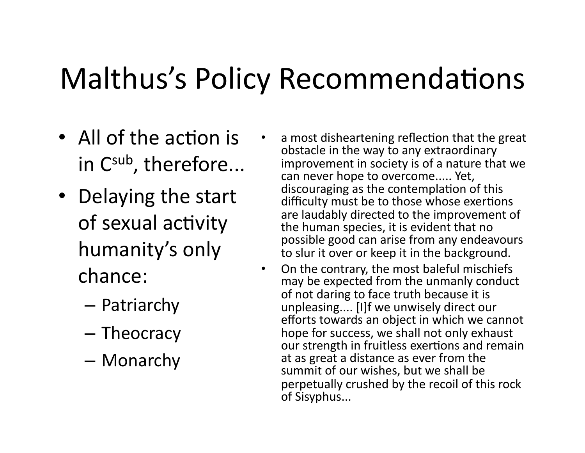# Malthus's Policy Recommendations

- All of the action is in  $C<sup>sub</sup>$ , therefore...
- Delaying the start of sexual activity humanity's only chance:
	- Patriarchy(
	- Theocracy
	- Monarchy(
- a most disheartening reflection that the great obstacle in the way to any extraordinary improvement in society is of a nature that we can never hope to overcome..... Yet, discouraging as the contemplation of this difficulty must be to those whose exertions are laudably directed to the improvement of the human species, it is evident that no possible good can arise from any endeavours to slur it over or keep it in the background.
- On the contrary, the most baleful mischiefs may be expected from the unmanly conduct of not daring to face truth because it is unpleasing.... [I]f we unwisely direct our efforts towards an object in which we cannot hope for success, we shall not only exhaust our strength in fruitless exertions and remain at as great a distance as ever from the summit of our wishes, but we shall be perpetually crushed by the recoil of this rock of Sisyphus...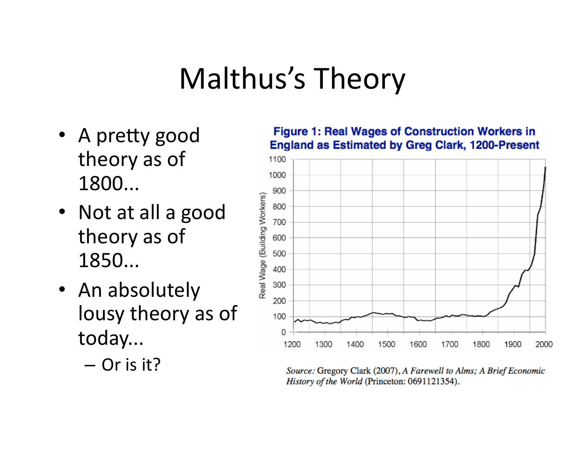#### Malthus's Theory

- A pretty good theory as of 1800...
- Not at all a good theory as of 1850...(
- An absolutely lousy theory as of today...
	- $-$  Or is it?

**Figure 1: Real Wages of Construction Workers in England as Estimated by Greg Clark, 1200-Present** 



Source: Gregory Clark (2007), A Farewell to Alms; A Brief Economic History of the World (Princeton: 0691121354).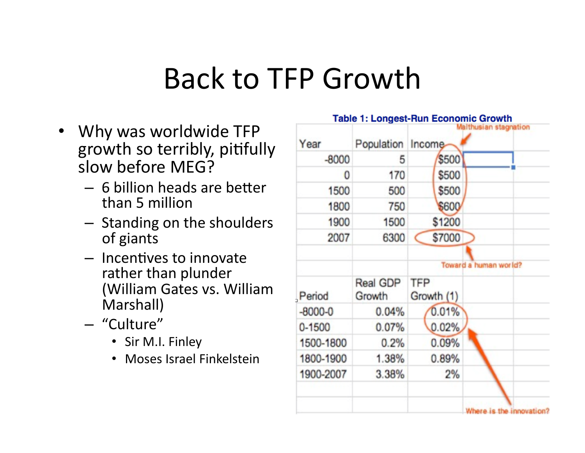#### Back to TFP Growth

- Why was worldwide TFP growth so terribly, pitifully slow before MEG?
	- $-6$  billion heads are better than 5 million
	- $-$  Standing on the shoulders of giants
	- $-$  Incentives to innovate rather than plunder (William Gates vs. William Marshall)
	- "Culture"(
		- Sir M.I. Finley
		- Moses Israel Finkelstein

| Year        | Population Income  |                   | Malthusian stagnation |
|-------------|--------------------|-------------------|-----------------------|
| $-8000$     | 5                  | \$500             |                       |
| 0           | 170                | \$500             |                       |
| 1500        | 500                | \$500             |                       |
| 1800        | 750                | \$600             |                       |
| 1900        | 1500               | \$1200            |                       |
| 2007        | 6300               | \$7000            |                       |
|             |                    |                   | Toward a human world? |
| Period      | Real GDP<br>Growth | TFP<br>Growth (1) |                       |
| $-8000 - 0$ | 0.04%              | 0.01%             |                       |
| $0 - 1500$  | 0.07%              | 0.02%             |                       |
| 1500-1800   | 0.2%               | 0.09%             |                       |
| 1800-1900   | 1.38%              | 0.89%             |                       |
|             |                    | 2%                |                       |

Table 1: Longest-Run Economic Growth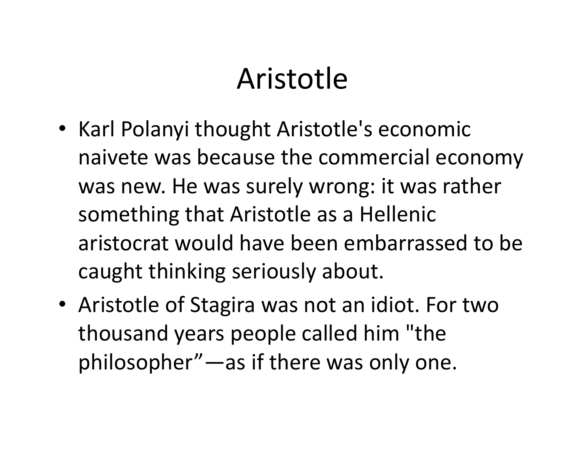#### Aristotle(

- Karl Polanyi thought Aristotle's economic naivete was because the commercial economy was new. He was surely wrong: it was rather something that Aristotle as a Hellenic aristocrat would have been embarrassed to be caught thinking seriously about.
- Aristotle of Stagira was not an idiot. For two thousand years people called him "the philosopher"—as if there was only one.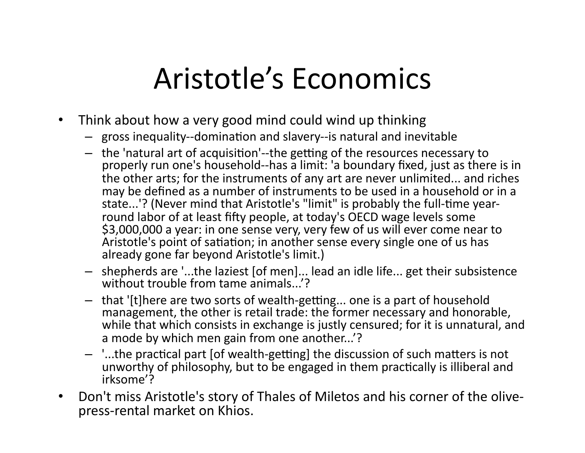## Aristotle's Economics

- Think about how a very good mind could wind up thinking
	- $-$  gross inequality--domination and slavery--is natural and inevitable
	- the 'natural art of acquisition'--the getting of the resources necessary to properly run one's household--has a limit: 'a boundary fixed, just as there is in the other arts; for the instruments of any art are never unlimited... and riches may be defined as a number of instruments to be used in a household or in a state...'? (Never mind that Aristotle's "limit" is probably the full-time yearround labor of at least fifty people, at today's OECD wage levels some \$3,000,000 a year: in one sense very, very few of us will ever come near to Aristotle's point of satiation; in another sense every single one of us has already gone far beyond Aristotle's limit.)
	- $-$  shepherds are '...the laziest [of men]... lead an idle life... get their subsistence without trouble from tame animals...'?
	- $-$  that '[t]here are two sorts of wealth-getting... one is a part of household management, the other is retail trade: the former necessary and honorable, while that which consists in exchange is justly censured; for it is unnatural, and a mode by which men gain from one another...'?
	- $-$  '...the practical part [of wealth-getting] the discussion of such matters is not unworthy of philosophy, but to be engaged in them practically is illiberal and irksome'?(
- Don't miss Aristotle's story of Thales of Miletos and his corner of the olivepress-rental market on Khios.